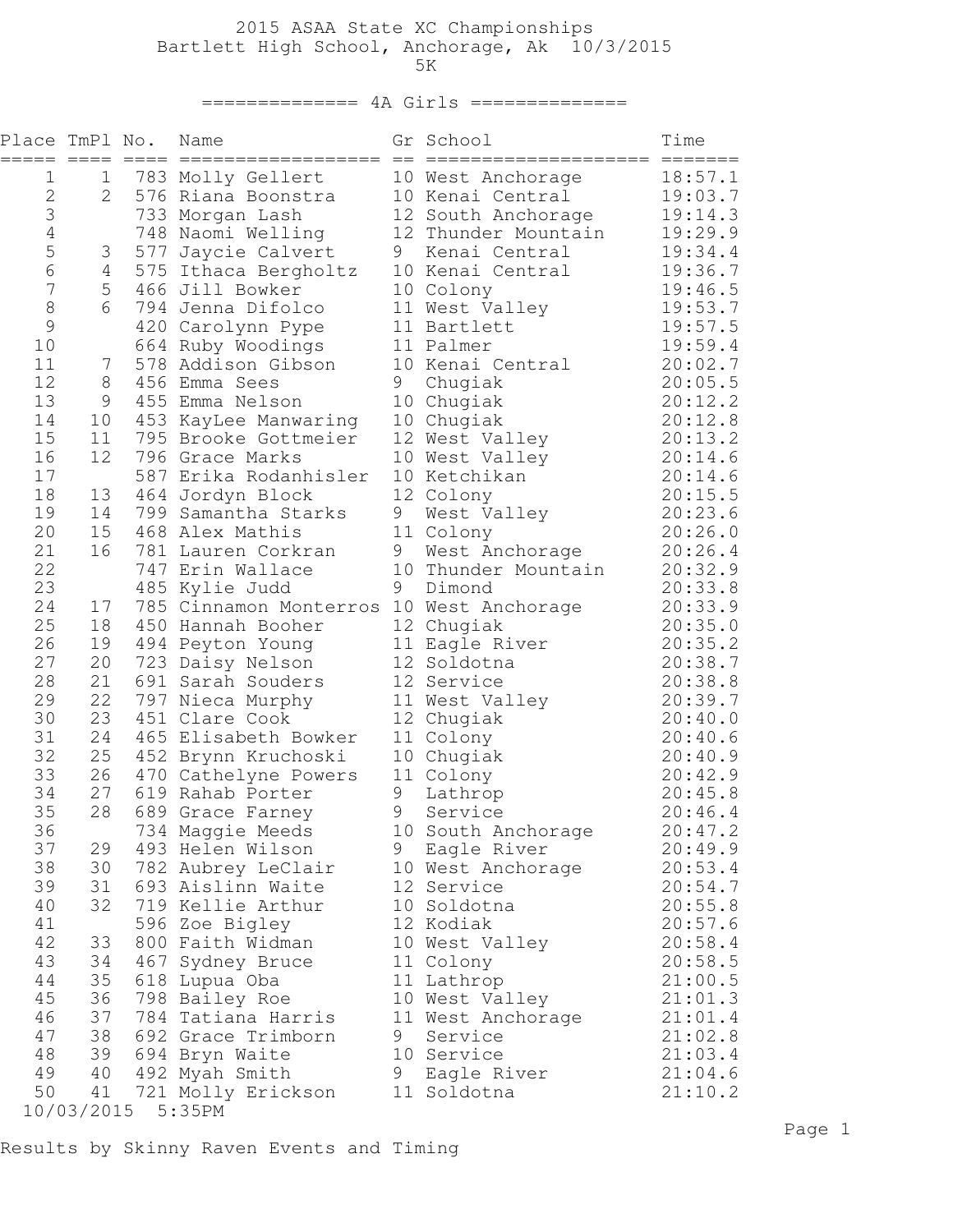## 2015 ASAA State XC Championships Bartlett High School, Anchorage, Ak 10/3/2015  $5K$

## ============== 4A Girls ==============

| Place TmPl No.<br>===== | $== == =$     | $====$ | Name<br>==================               | $=$ | Gr School<br>==================== | Time<br>=======    |
|-------------------------|---------------|--------|------------------------------------------|-----|-----------------------------------|--------------------|
| 1                       | 1             |        | 783 Molly Gellert                        |     | 10 West Anchorage                 | 18:57.1            |
| 2                       | 2             |        | 576 Riana Boonstra                       |     | 10 Kenai Central                  | 19:03.7            |
| 3                       |               | 733    | Morgan Lash                              |     | 12 South Anchorage                | 19:14.3            |
| $\sqrt{4}$              |               |        | 748 Naomi Welling                        |     | 12 Thunder Mountain               | 19:29.9            |
| 5                       | 3             |        | 577 Jaycie Calvert                       | 9   | Kenai Central                     | 19:34.4            |
| 6                       | 4             |        | 575 Ithaca Bergholtz                     |     | 10 Kenai Central                  | 19:36.7            |
| 7                       | 5             |        | 466 Jill Bowker                          |     | 10 Colony                         | 19:46.5            |
| $\,8\,$                 | 6             |        | 794 Jenna Difolco                        |     | 11 West Valley                    | 19:53.7            |
| $\mathcal{G}$<br>10     |               |        | 420 Carolynn Pype                        |     | 11 Bartlett<br>11 Palmer          | 19:57.5<br>19:59.4 |
| 11                      | $\frac{1}{2}$ |        | 664 Ruby Woodings<br>578 Addison Gibson  |     | 10 Kenai Central                  | 20:02.7            |
| 12                      | 8             |        | 456 Emma Sees                            | 9   | Chugiak                           | 20:05.5            |
| 13                      | 9             | 455    | Emma Nelson                              |     | 10 Chugiak                        | 20:12.2            |
| 14                      | 10            | 453    | KayLee Manwaring                         |     | 10 Chugiak                        | 20:12.8            |
| 15                      | 11            |        | 795 Brooke Gottmeier                     |     | 12 West Valley                    | 20:13.2            |
| 16                      | 12            |        | 796 Grace Marks                          |     | 10 West Valley                    | 20:14.6            |
| 17                      |               |        | 587 Erika Rodanhisler                    |     | 10 Ketchikan                      | 20:14.6            |
| 18                      | 13            |        | 464 Jordyn Block                         |     | 12 Colony                         | 20:15.5            |
| 19                      | 14            | 799    | Samantha Starks                          | 9   | West Valley                       | 20:23.6            |
| 20                      | 15            |        | 468 Alex Mathis                          |     | 11 Colony                         | 20:26.0            |
| 21                      | 16            |        | 781 Lauren Corkran                       | 9   | West Anchorage                    | 20:26.4            |
| 22                      |               |        | 747 Erin Wallace                         |     | 10 Thunder Mountain               | 20:32.9            |
| 23                      |               |        | 485 Kylie Judd                           | 9   | Dimond                            | 20:33.8            |
| 24                      | 17            |        | 785 Cinnamon Monterros 10 West Anchorage |     |                                   | 20:33.9            |
| 25                      | 18            |        | 450 Hannah Booher                        |     | 12 Chugiak                        | 20:35.0            |
| 26                      | 19            |        | 494 Peyton Young                         |     | 11 Eagle River                    | 20:35.2            |
| 27                      | 20            |        | 723 Daisy Nelson                         |     | 12 Soldotna                       | 20:38.7            |
| 28                      | 21            |        | 691 Sarah Souders                        |     | 12 Service                        | 20:38.8            |
| 29                      | 22            |        | 797 Nieca Murphy                         |     | 11 West Valley                    | 20:39.7            |
| 30                      | 23            |        | 451 Clare Cook                           |     | 12 Chugiak                        | 20:40.0            |
| 31<br>32                | 24            |        | 465 Elisabeth Bowker                     |     | 11 Colony                         | 20:40.6            |
| 33                      | 25<br>26      |        | 452 Brynn Kruchoski                      |     | 10 Chugiak                        | 20:40.9            |
| 34                      | 27            | 619    | 470 Cathelyne Powers<br>Rahab Porter     | 9   | 11 Colony<br>Lathrop              | 20:42.9<br>20:45.8 |
| 35                      | 28            | 689    | Grace Farney                             | 9   | Service                           | 20:46.4            |
| 36                      |               |        | 734 Maggie Meeds                         |     | 10 South Anchorage                | 20:47.2            |
| 37                      | 29            |        | 493 Helen Wilson                         |     | 9 Eagle River                     | 20:49.9            |
| 38                      | 30            |        | 782 Aubrey LeClair                       |     | 10 West Anchorage                 | 20:53.4            |
| 39                      | 31            |        | 693 Aislinn Waite                        |     | 12 Service                        | 20:54.7            |
| 40                      | 32            |        | 719 Kellie Arthur                        |     | 10 Soldotna                       | 20:55.8            |
| 41                      |               |        | 596 Zoe Bigley                           |     | 12 Kodiak                         | 20:57.6            |
| 42                      | 33            |        | 800 Faith Widman                         |     | 10 West Valley                    | 20:58.4            |
| 43                      | 34            |        | 467 Sydney Bruce                         |     | 11 Colony                         | 20:58.5            |
| 44                      | 35            |        | 618 Lupua Oba                            |     | 11 Lathrop                        | 21:00.5            |
| 45                      | 36            |        | 798 Bailey Roe                           |     | 10 West Valley                    | 21:01.3            |
| 46                      | 37            |        | 784 Tatiana Harris                       |     | 11 West Anchorage                 | 21:01.4            |
| 47                      | 38            |        | 692 Grace Trimborn                       | 9   | Service                           | 21:02.8            |
| 48                      | 39            |        | 694 Bryn Waite                           |     | 10 Service                        | 21:03.4            |
| 49                      | 40            |        | 492 Myah Smith                           |     | 9 Eagle River                     | 21:04.6            |
| 50                      | 41            |        | 721 Molly Erickson                       |     | 11 Soldotna                       | 21:10.2            |
|                         |               |        | 10/03/2015 5:35PM                        |     |                                   |                    |

Results by Skinny Raven Events and Timing